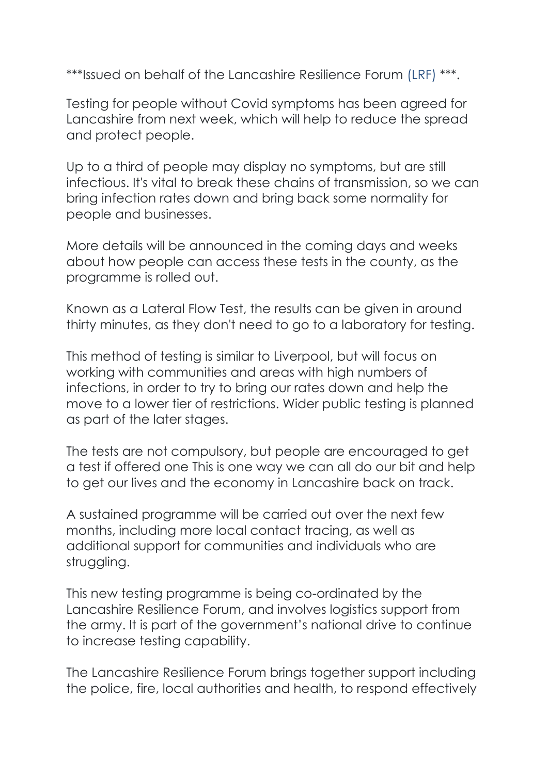\*\*\*Issued on behalf of the Lancashire Resilience Forum (LRF) \*\*\*.

Testing for people without Covid symptoms has been agreed for Lancashire from next week, which will help to reduce the spread and protect people.

Up to a third of people may display no symptoms, but are still infectious. It's vital to break these chains of transmission, so we can bring infection rates down and bring back some normality for people and businesses.

More details will be announced in the coming days and weeks about how people can access these tests in the county, as the programme is rolled out.

Known as a Lateral Flow Test, the results can be given in around thirty minutes, as they don't need to go to a laboratory for testing.

This method of testing is similar to Liverpool, but will focus on working with communities and areas with high numbers of infections, in order to try to bring our rates down and help the move to a lower tier of restrictions. Wider public testing is planned as part of the later stages.

The tests are not compulsory, but people are encouraged to get a test if offered one This is one way we can all do our bit and help to get our lives and the economy in Lancashire back on track.

A sustained programme will be carried out over the next few months, including more local contact tracing, as well as additional support for communities and individuals who are struggling.

This new testing programme is being co-ordinated by the Lancashire Resilience Forum, and involves logistics support from the army. It is part of the government's national drive to continue to increase testing capability.

The Lancashire Resilience Forum brings together support including the police, fire, local authorities and health, to respond effectively